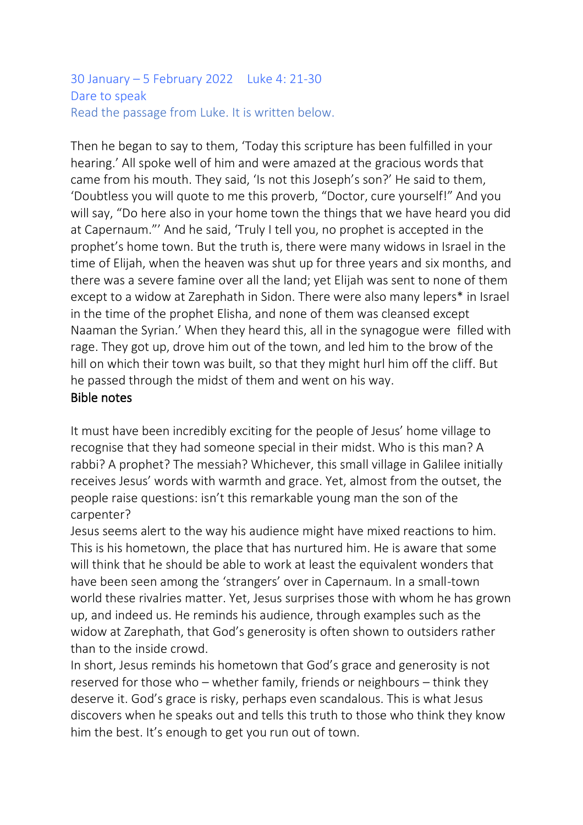### 30 January – 5 February 2022 Luke 4: 21-30 Dare to speak Read the passage from Luke. It is written below.

Then he began to say to them, 'Today this scripture has been fulfilled in your hearing.' All spoke well of him and were amazed at the gracious words that came from his mouth. They said, 'Is not this Joseph's son?' He said to them, 'Doubtless you will quote to me this proverb, "Doctor, cure yourself!" And you will say, "Do here also in your home town the things that we have heard you did at Capernaum."' And he said, 'Truly I tell you, no prophet is accepted in the prophet's home town. But the truth is, there were many widows in Israel in the time of Elijah, when the heaven was shut up for three years and six months, and there was a severe famine over all the land; yet Elijah was sent to none of them except to a widow at Zarephath in Sidon. There were also many lepers\* in Israel in the time of the prophet Elisha, and none of them was cleansed except Naaman the Syrian.' When they heard this, all in the synagogue were filled with rage. They got up, drove him out of the town, and led him to the brow of the hill on which their town was built, so that they might hurl him off the cliff. But he passed through the midst of them and went on his way. Bible notes

It must have been incredibly exciting for the people of Jesus' home village to recognise that they had someone special in their midst. Who is this man? A rabbi? A prophet? The messiah? Whichever, this small village in Galilee initially receives Jesus' words with warmth and grace. Yet, almost from the outset, the people raise questions: isn't this remarkable young man the son of the carpenter?

Jesus seems alert to the way his audience might have mixed reactions to him. This is his hometown, the place that has nurtured him. He is aware that some will think that he should be able to work at least the equivalent wonders that have been seen among the 'strangers' over in Capernaum. In a small-town world these rivalries matter. Yet, Jesus surprises those with whom he has grown up, and indeed us. He reminds his audience, through examples such as the widow at Zarephath, that God's generosity is often shown to outsiders rather than to the inside crowd.

In short, Jesus reminds his hometown that God's grace and generosity is not reserved for those who – whether family, friends or neighbours – think they deserve it. God's grace is risky, perhaps even scandalous. This is what Jesus discovers when he speaks out and tells this truth to those who think they know him the best. It's enough to get you run out of town.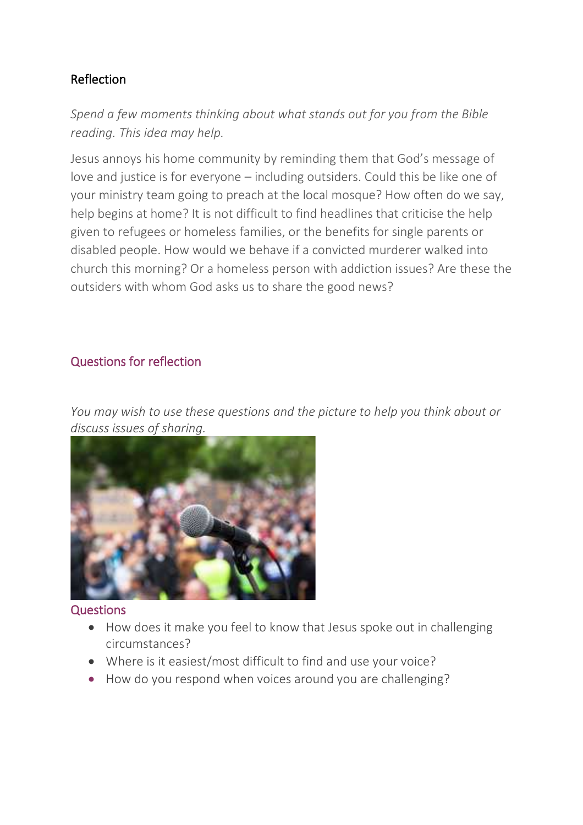# Reflection

*Spend a few moments thinking about what stands out for you from the Bible reading. This idea may help.*

Jesus annoys his home community by reminding them that God's message of love and justice is for everyone – including outsiders. Could this be like one of your ministry team going to preach at the local mosque? How often do we say, help begins at home? It is not difficult to find headlines that criticise the help given to refugees or homeless families, or the benefits for single parents or disabled people. How would we behave if a convicted murderer walked into church this morning? Or a homeless person with addiction issues? Are these the outsiders with whom God asks us to share the good news?

## Questions for reflection

*You may wish to use these questions and the picture to help you think about or [discuss issues of sharing.](https://www.rootsontheweb.com/media/23416/microphone-at-demo.jpg)*



### Questions

- How does it make you feel to know that Jesus spoke out in challenging circumstances?
- Where is it easiest/most difficult to find and use your voice?
- How do you respond when voices around you are challenging?